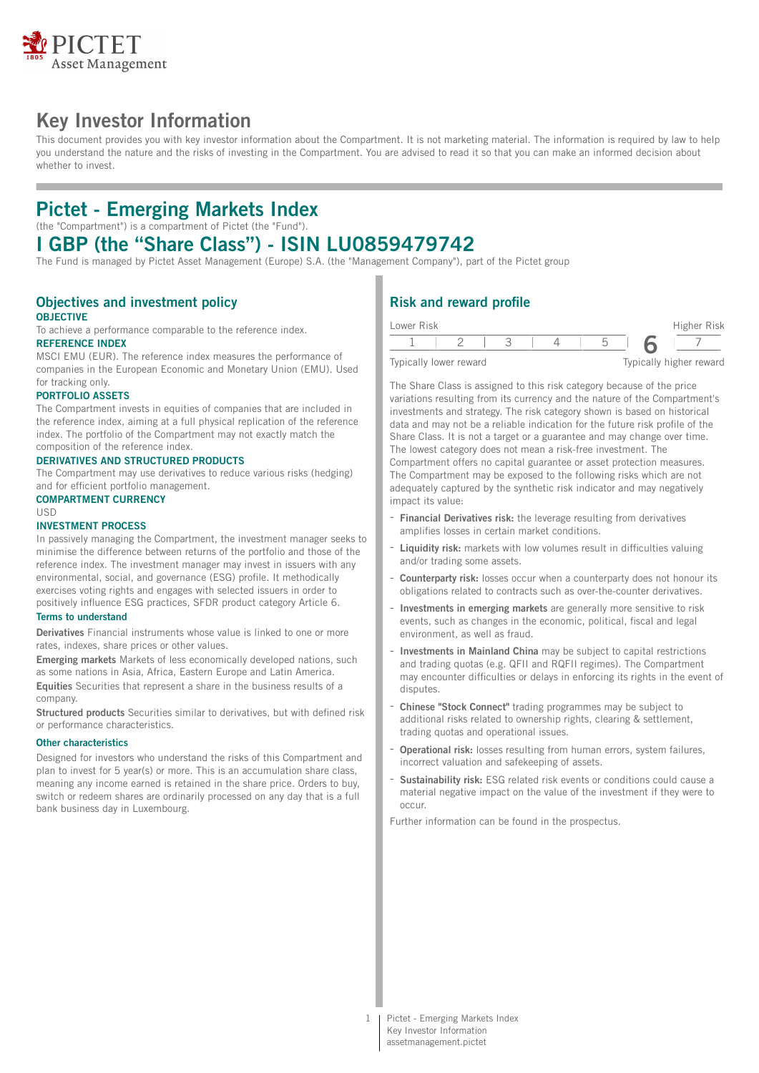

# **Key Investor Information**

This document provides you with key investor information about the Compartment. It is not marketing material. The information is required by law to help you understand the nature and the risks of investing in the Compartment. You are advised to read it so that you can make an informed decision about whether to invest.

# **Pictet - Emerging Markets Index**

(the "Compartment") is a compartment of Pictet (the "Fund").

## **I GBP (the "Share Class") - ISIN LU0859479742**

The Fund is managed by Pictet Asset Management (Europe) S.A. (the "Management Company"), part of the Pictet group

#### **Objectives and investment policy OBJECTIVE**

To achieve a performance comparable to the reference index.

## **REFERENCE INDEX**

MSCI EMU (EUR). The reference index measures the performance of companies in the European Economic and Monetary Union (EMU). Used for tracking only.

### **PORTFOLIO ASSETS**

The Compartment invests in equities of companies that are included in the reference index, aiming at a full physical replication of the reference index. The portfolio of the Compartment may not exactly match the composition of the reference index.

### **DERIVATIVES AND STRUCTURED PRODUCTS**

The Compartment may use derivatives to reduce various risks (hedging) and for efficient portfolio management.

#### **COMPARTMENT CURRENCY**

USD

## **INVESTMENT PROCESS**

In passively managing the Compartment, the investment manager seeks to minimise the difference between returns of the portfolio and those of the reference index. The investment manager may invest in issuers with any environmental, social, and governance (ESG) profile. It methodically exercises voting rights and engages with selected issuers in order to positively influence ESG practices, SFDR product category Article 6.

### **Terms to understand**

**Derivatives** Financial instruments whose value is linked to one or more rates, indexes, share prices or other values.

**Emerging markets** Markets of less economically developed nations, such as some nations in Asia, Africa, Eastern Europe and Latin America. **Equities** Securities that represent a share in the business results of a company.

**Structured products** Securities similar to derivatives, but with defined risk or performance characteristics.

#### **Other characteristics**

Designed for investors who understand the risks of this Compartment and plan to invest for 5 year(s) or more. This is an accumulation share class, meaning any income earned is retained in the share price. Orders to buy, switch or redeem shares are ordinarily processed on any day that is a full bank business day in Luxembourg.

## **Risk and reward profile**

| Lower Risk |                        |  |  | Higher Risk             |
|------------|------------------------|--|--|-------------------------|
|            |                        |  |  |                         |
|            | Typically lower reward |  |  | Typically higher reward |

The Share Class is assigned to this risk category because of the price variations resulting from its currency and the nature of the Compartment's investments and strategy. The risk category shown is based on historical data and may not be a reliable indication for the future risk profile of the Share Class. It is not a target or a guarantee and may change over time. The lowest category does not mean a risk-free investment. The Compartment offers no capital guarantee or asset protection measures. The Compartment may be exposed to the following risks which are not adequately captured by the synthetic risk indicator and may negatively impact its value:

- **Financial Derivatives risk:** the leverage resulting from derivatives amplifies losses in certain market conditions.
- **Liquidity risk:** markets with low volumes result in difficulties valuing and/or trading some assets.
- **Counterparty risk:** losses occur when a counterparty does not honour its obligations related to contracts such as over-the-counter derivatives.
- **Investments in emerging markets** are generally more sensitive to risk events, such as changes in the economic, political, fiscal and legal environment, as well as fraud.
- **Investments in Mainland China** may be subject to capital restrictions and trading quotas (e.g. QFII and RQFII regimes). The Compartment may encounter difficulties or delays in enforcing its rights in the event of disputes.
- **Chinese "Stock Connect"** trading programmes may be subject to additional risks related to ownership rights, clearing & settlement, trading quotas and operational issues.
- **Operational risk:** losses resulting from human errors, system failures, incorrect valuation and safekeeping of assets.
- **Sustainability risk:** ESG related risk events or conditions could cause a material negative impact on the value of the investment if they were to occur.

Further information can be found in the prospectus.